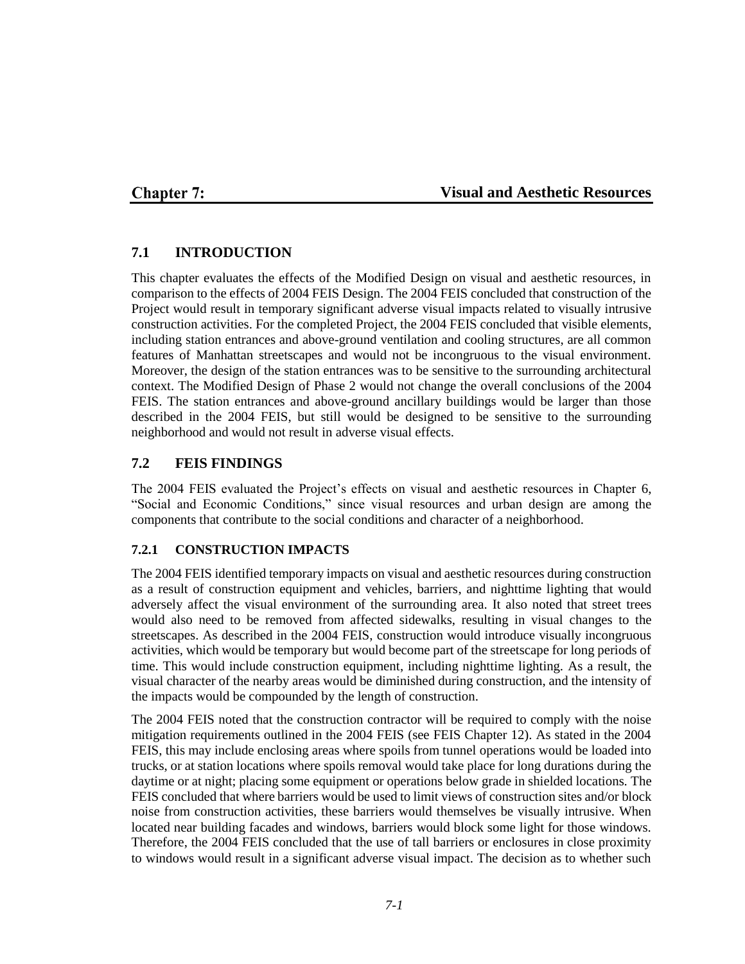# **Chapter 7:**

#### **Visual and Aesthetic Resources**

### **7.1 INTRODUCTION**

This chapter evaluates the effects of the Modified Design on visual and aesthetic resources, in comparison to the effects of 2004 FEIS Design. The 2004 FEIS concluded that construction of the Project would result in temporary significant adverse visual impacts related to visually intrusive construction activities. For the completed Project, the 2004 FEIS concluded that visible elements, including station entrances and above-ground ventilation and cooling structures, are all common features of Manhattan streetscapes and would not be incongruous to the visual environment. Moreover, the design of the station entrances was to be sensitive to the surrounding architectural context. The Modified Design of Phase 2 would not change the overall conclusions of the 2004 FEIS. The station entrances and above-ground ancillary buildings would be larger than those described in the 2004 FEIS, but still would be designed to be sensitive to the surrounding neighborhood and would not result in adverse visual effects.

### **7.2 FEIS FINDINGS**

The 2004 FEIS evaluated the Project's effects on visual and aesthetic resources in Chapter 6, "Social and Economic Conditions," since visual resources and urban design are among the components that contribute to the social conditions and character of a neighborhood.

#### **7.2.1 CONSTRUCTION IMPACTS**

The 2004 FEIS identified temporary impacts on visual and aesthetic resources during construction as a result of construction equipment and vehicles, barriers, and nighttime lighting that would adversely affect the visual environment of the surrounding area. It also noted that street trees would also need to be removed from affected sidewalks, resulting in visual changes to the streetscapes. As described in the 2004 FEIS, construction would introduce visually incongruous activities, which would be temporary but would become part of the streetscape for long periods of time. This would include construction equipment, including nighttime lighting. As a result, the visual character of the nearby areas would be diminished during construction, and the intensity of the impacts would be compounded by the length of construction.

The 2004 FEIS noted that the construction contractor will be required to comply with the noise mitigation requirements outlined in the 2004 FEIS (see FEIS Chapter 12). As stated in the 2004 FEIS, this may include enclosing areas where spoils from tunnel operations would be loaded into trucks, or at station locations where spoils removal would take place for long durations during the daytime or at night; placing some equipment or operations below grade in shielded locations. The FEIS concluded that where barriers would be used to limit views of construction sites and/or block noise from construction activities, these barriers would themselves be visually intrusive. When located near building facades and windows, barriers would block some light for those windows. Therefore, the 2004 FEIS concluded that the use of tall barriers or enclosures in close proximity to windows would result in a significant adverse visual impact. The decision as to whether such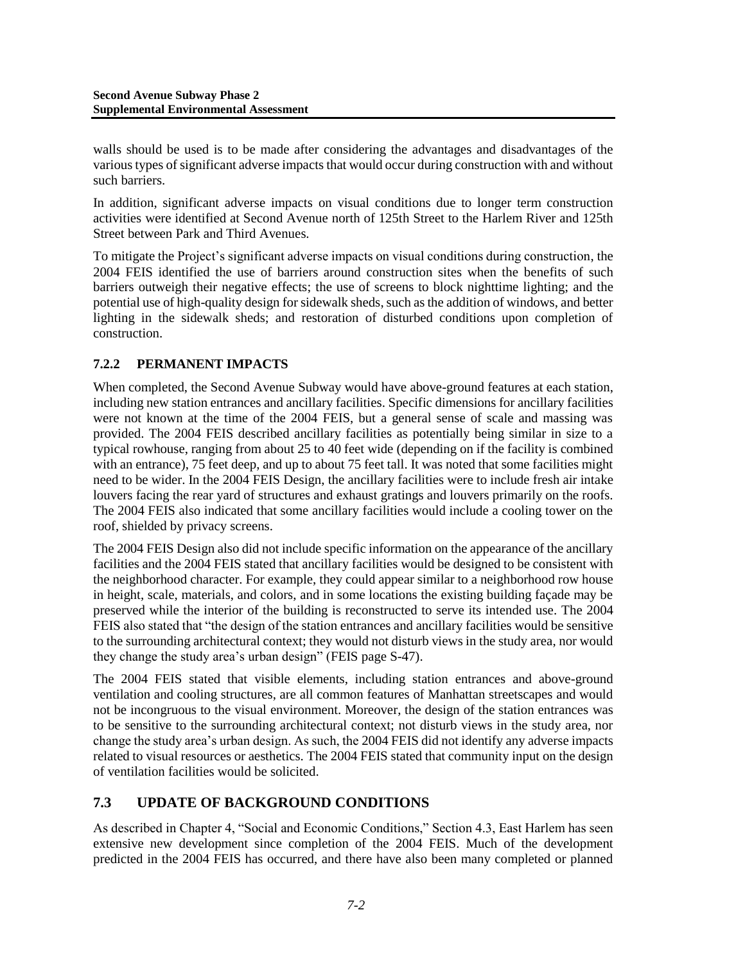walls should be used is to be made after considering the advantages and disadvantages of the various types of significant adverse impacts that would occur during construction with and without such barriers.

In addition, significant adverse impacts on visual conditions due to longer term construction activities were identified at Second Avenue north of 125th Street to the Harlem River and 125th Street between Park and Third Avenues.

To mitigate the Project's significant adverse impacts on visual conditions during construction, the 2004 FEIS identified the use of barriers around construction sites when the benefits of such barriers outweigh their negative effects; the use of screens to block nighttime lighting; and the potential use of high-quality design for sidewalk sheds, such as the addition of windows, and better lighting in the sidewalk sheds; and restoration of disturbed conditions upon completion of construction.

# **7.2.2 PERMANENT IMPACTS**

When completed, the Second Avenue Subway would have above-ground features at each station, including new station entrances and ancillary facilities. Specific dimensions for ancillary facilities were not known at the time of the 2004 FEIS, but a general sense of scale and massing was provided. The 2004 FEIS described ancillary facilities as potentially being similar in size to a typical rowhouse, ranging from about 25 to 40 feet wide (depending on if the facility is combined with an entrance), 75 feet deep, and up to about 75 feet tall. It was noted that some facilities might need to be wider. In the 2004 FEIS Design, the ancillary facilities were to include fresh air intake louvers facing the rear yard of structures and exhaust gratings and louvers primarily on the roofs. The 2004 FEIS also indicated that some ancillary facilities would include a cooling tower on the roof, shielded by privacy screens.

The 2004 FEIS Design also did not include specific information on the appearance of the ancillary facilities and the 2004 FEIS stated that ancillary facilities would be designed to be consistent with the neighborhood character. For example, they could appear similar to a neighborhood row house in height, scale, materials, and colors, and in some locations the existing building façade may be preserved while the interior of the building is reconstructed to serve its intended use. The 2004 FEIS also stated that "the design of the station entrances and ancillary facilities would be sensitive to the surrounding architectural context; they would not disturb views in the study area, nor would they change the study area's urban design" (FEIS page S-47).

The 2004 FEIS stated that visible elements, including station entrances and above-ground ventilation and cooling structures, are all common features of Manhattan streetscapes and would not be incongruous to the visual environment. Moreover, the design of the station entrances was to be sensitive to the surrounding architectural context; not disturb views in the study area, nor change the study area's urban design. As such, the 2004 FEIS did not identify any adverse impacts related to visual resources or aesthetics. The 2004 FEIS stated that community input on the design of ventilation facilities would be solicited.

# **7.3 UPDATE OF BACKGROUND CONDITIONS**

As described in Chapter 4, "Social and Economic Conditions," Section 4.3, East Harlem has seen extensive new development since completion of the 2004 FEIS. Much of the development predicted in the 2004 FEIS has occurred, and there have also been many completed or planned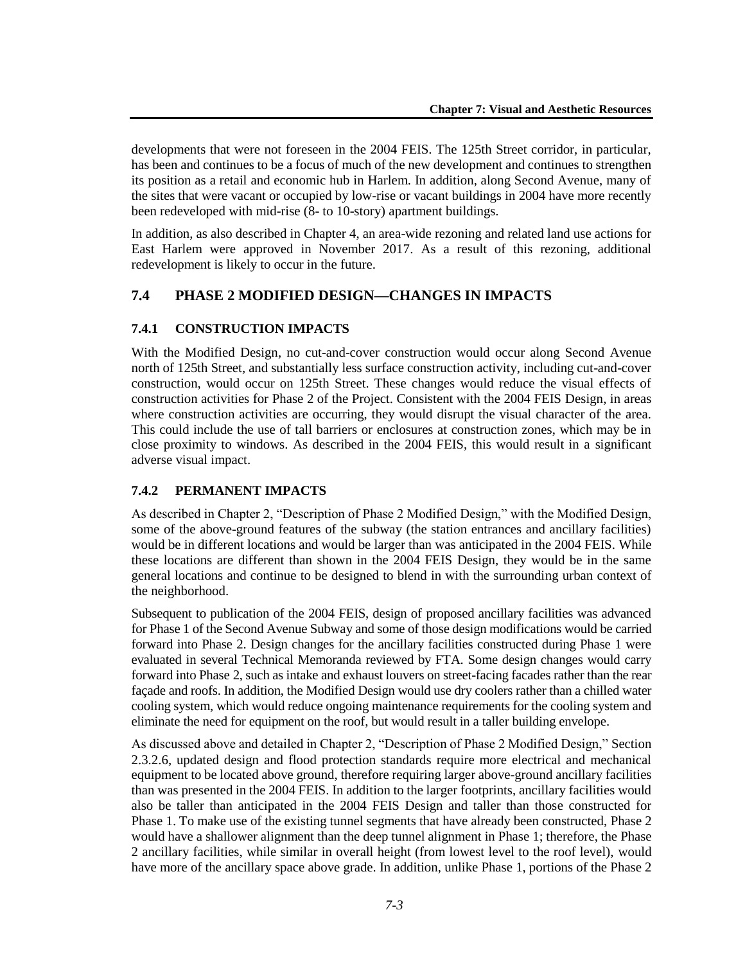developments that were not foreseen in the 2004 FEIS. The 125th Street corridor, in particular, has been and continues to be a focus of much of the new development and continues to strengthen its position as a retail and economic hub in Harlem. In addition, along Second Avenue, many of the sites that were vacant or occupied by low-rise or vacant buildings in 2004 have more recently been redeveloped with mid-rise (8- to 10-story) apartment buildings.

In addition, as also described in Chapter 4, an area-wide rezoning and related land use actions for East Harlem were approved in November 2017. As a result of this rezoning, additional redevelopment is likely to occur in the future.

# **7.4 PHASE 2 MODIFIED DESIGN—CHANGES IN IMPACTS**

#### **7.4.1 CONSTRUCTION IMPACTS**

With the Modified Design, no cut-and-cover construction would occur along Second Avenue north of 125th Street, and substantially less surface construction activity, including cut-and-cover construction, would occur on 125th Street. These changes would reduce the visual effects of construction activities for Phase 2 of the Project. Consistent with the 2004 FEIS Design, in areas where construction activities are occurring, they would disrupt the visual character of the area. This could include the use of tall barriers or enclosures at construction zones, which may be in close proximity to windows. As described in the 2004 FEIS, this would result in a significant adverse visual impact.

#### **7.4.2 PERMANENT IMPACTS**

As described in Chapter 2, "Description of Phase 2 Modified Design," with the Modified Design, some of the above-ground features of the subway (the station entrances and ancillary facilities) would be in different locations and would be larger than was anticipated in the 2004 FEIS. While these locations are different than shown in the 2004 FEIS Design, they would be in the same general locations and continue to be designed to blend in with the surrounding urban context of the neighborhood.

Subsequent to publication of the 2004 FEIS, design of proposed ancillary facilities was advanced for Phase 1 of the Second Avenue Subway and some of those design modifications would be carried forward into Phase 2. Design changes for the ancillary facilities constructed during Phase 1 were evaluated in several Technical Memoranda reviewed by FTA. Some design changes would carry forward into Phase 2, such as intake and exhaust louvers on street-facing facades rather than the rear façade and roofs. In addition, the Modified Design would use dry coolers rather than a chilled water cooling system, which would reduce ongoing maintenance requirements for the cooling system and eliminate the need for equipment on the roof, but would result in a taller building envelope.

As discussed above and detailed in Chapter 2, "Description of Phase 2 Modified Design," Section 2.3.2.6, updated design and flood protection standards require more electrical and mechanical equipment to be located above ground, therefore requiring larger above-ground ancillary facilities than was presented in the 2004 FEIS. In addition to the larger footprints, ancillary facilities would also be taller than anticipated in the 2004 FEIS Design and taller than those constructed for Phase 1. To make use of the existing tunnel segments that have already been constructed, Phase 2 would have a shallower alignment than the deep tunnel alignment in Phase 1; therefore, the Phase 2 ancillary facilities, while similar in overall height (from lowest level to the roof level), would have more of the ancillary space above grade. In addition, unlike Phase 1, portions of the Phase 2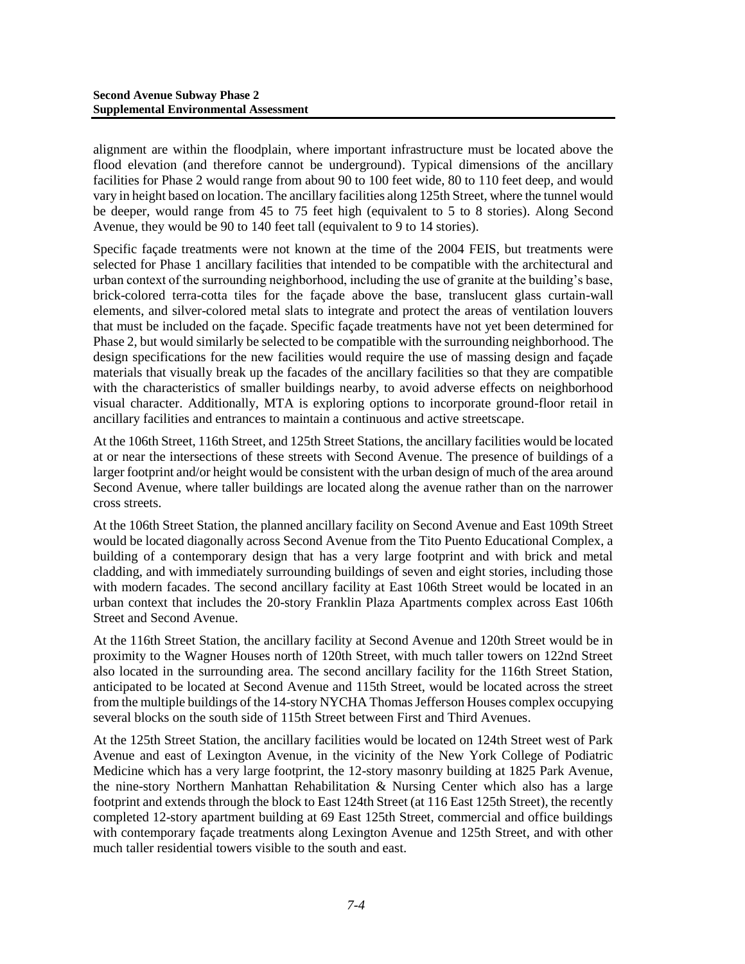alignment are within the floodplain, where important infrastructure must be located above the flood elevation (and therefore cannot be underground). Typical dimensions of the ancillary facilities for Phase 2 would range from about 90 to 100 feet wide, 80 to 110 feet deep, and would vary in height based on location. The ancillary facilities along 125th Street, where the tunnel would be deeper, would range from 45 to 75 feet high (equivalent to 5 to 8 stories). Along Second Avenue, they would be 90 to 140 feet tall (equivalent to 9 to 14 stories).

Specific façade treatments were not known at the time of the 2004 FEIS, but treatments were selected for Phase 1 ancillary facilities that intended to be compatible with the architectural and urban context of the surrounding neighborhood, including the use of granite at the building's base, brick-colored terra-cotta tiles for the façade above the base, translucent glass curtain-wall elements, and silver-colored metal slats to integrate and protect the areas of ventilation louvers that must be included on the façade. Specific façade treatments have not yet been determined for Phase 2, but would similarly be selected to be compatible with the surrounding neighborhood. The design specifications for the new facilities would require the use of massing design and façade materials that visually break up the facades of the ancillary facilities so that they are compatible with the characteristics of smaller buildings nearby, to avoid adverse effects on neighborhood visual character. Additionally, MTA is exploring options to incorporate ground-floor retail in ancillary facilities and entrances to maintain a continuous and active streetscape.

At the 106th Street, 116th Street, and 125th Street Stations, the ancillary facilities would be located at or near the intersections of these streets with Second Avenue. The presence of buildings of a larger footprint and/or height would be consistent with the urban design of much of the area around Second Avenue, where taller buildings are located along the avenue rather than on the narrower cross streets.

At the 106th Street Station, the planned ancillary facility on Second Avenue and East 109th Street would be located diagonally across Second Avenue from the Tito Puento Educational Complex, a building of a contemporary design that has a very large footprint and with brick and metal cladding, and with immediately surrounding buildings of seven and eight stories, including those with modern facades. The second ancillary facility at East 106th Street would be located in an urban context that includes the 20-story Franklin Plaza Apartments complex across East 106th Street and Second Avenue.

At the 116th Street Station, the ancillary facility at Second Avenue and 120th Street would be in proximity to the Wagner Houses north of 120th Street, with much taller towers on 122nd Street also located in the surrounding area. The second ancillary facility for the 116th Street Station, anticipated to be located at Second Avenue and 115th Street, would be located across the street from the multiple buildings of the 14-story NYCHA Thomas Jefferson Houses complex occupying several blocks on the south side of 115th Street between First and Third Avenues.

At the 125th Street Station, the ancillary facilities would be located on 124th Street west of Park Avenue and east of Lexington Avenue, in the vicinity of the New York College of Podiatric Medicine which has a very large footprint, the 12-story masonry building at 1825 Park Avenue, the nine-story Northern Manhattan Rehabilitation & Nursing Center which also has a large footprint and extends through the block to East 124th Street (at 116 East 125th Street), the recently completed 12-story apartment building at 69 East 125th Street, commercial and office buildings with contemporary façade treatments along Lexington Avenue and 125th Street, and with other much taller residential towers visible to the south and east.